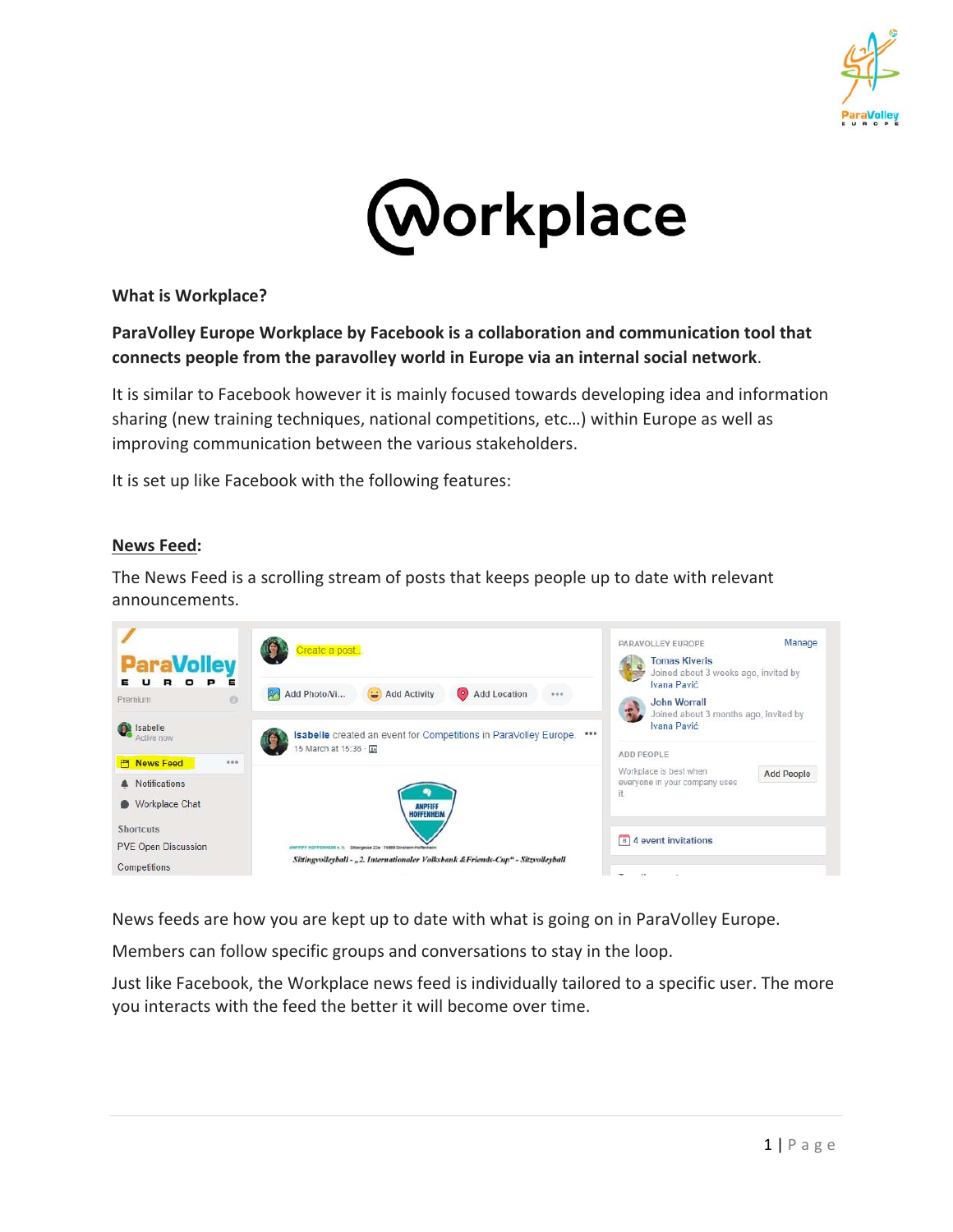



**What is Workplace?** 

## **ParaVolley Europe Workplace by Facebook is a collaboration and communication tool that connects people from the paravolley world in Europe via an internal social network**.

It is similar to Facebook however it is mainly focused towards developing idea and information sharing (new training techniques, national competitions, etc…) within Europe as well as improving communication between the various stakeholders.

It is set up like Facebook with the following features:

#### **News Feed:**

The News Feed is a scrolling stream of posts that keeps people up to date with relevant announcements.



News feeds are how you are kept up to date with what is going on in ParaVolley Europe.

Members can follow specific groups and conversations to stay in the loop.

Just like Facebook, the Workplace news feed is individually tailored to a specific user. The more you interacts with the feed the better it will become over time.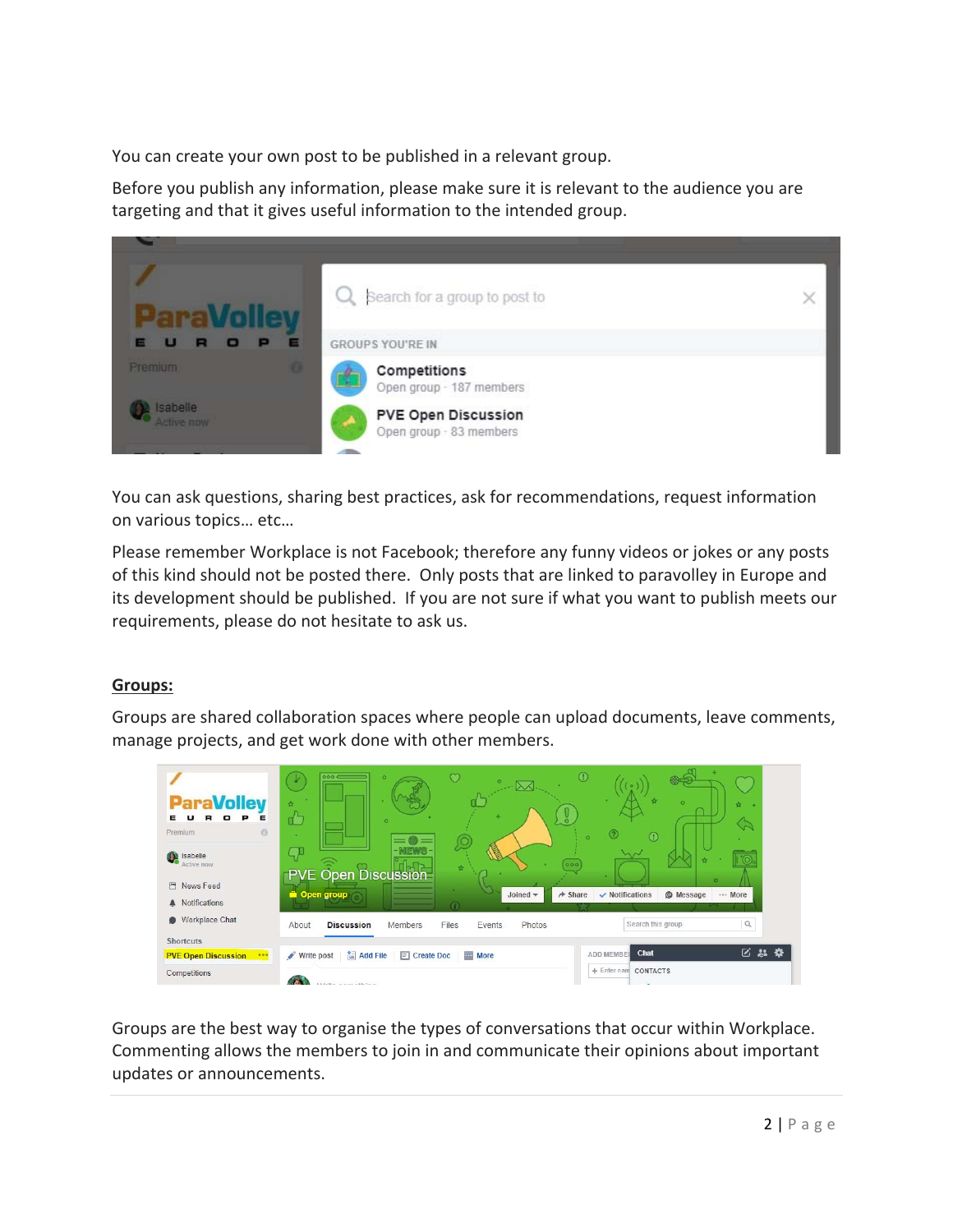You can create your own post to be published in a relevant group.

Before you publish any information, please make sure it is relevant to the audience you are targeting and that it gives useful information to the intended group.



You can ask questions, sharing best practices, ask for recommendations, request information on various topics… etc…

Please remember Workplace is not Facebook; therefore any funny videos or jokes or any posts of this kind should not be posted there. Only posts that are linked to paravolley in Europe and its development should be published. If you are not sure if what you want to publish meets our requirements, please do not hesitate to ask us.

# **Groups:**

Groups are shared collaboration spaces where people can upload documents, leave comments, manage projects, and get work done with other members.



Groups are the best way to organise the types of conversations that occur within Workplace. Commenting allows the members to join in and communicate their opinions about important updates or announcements.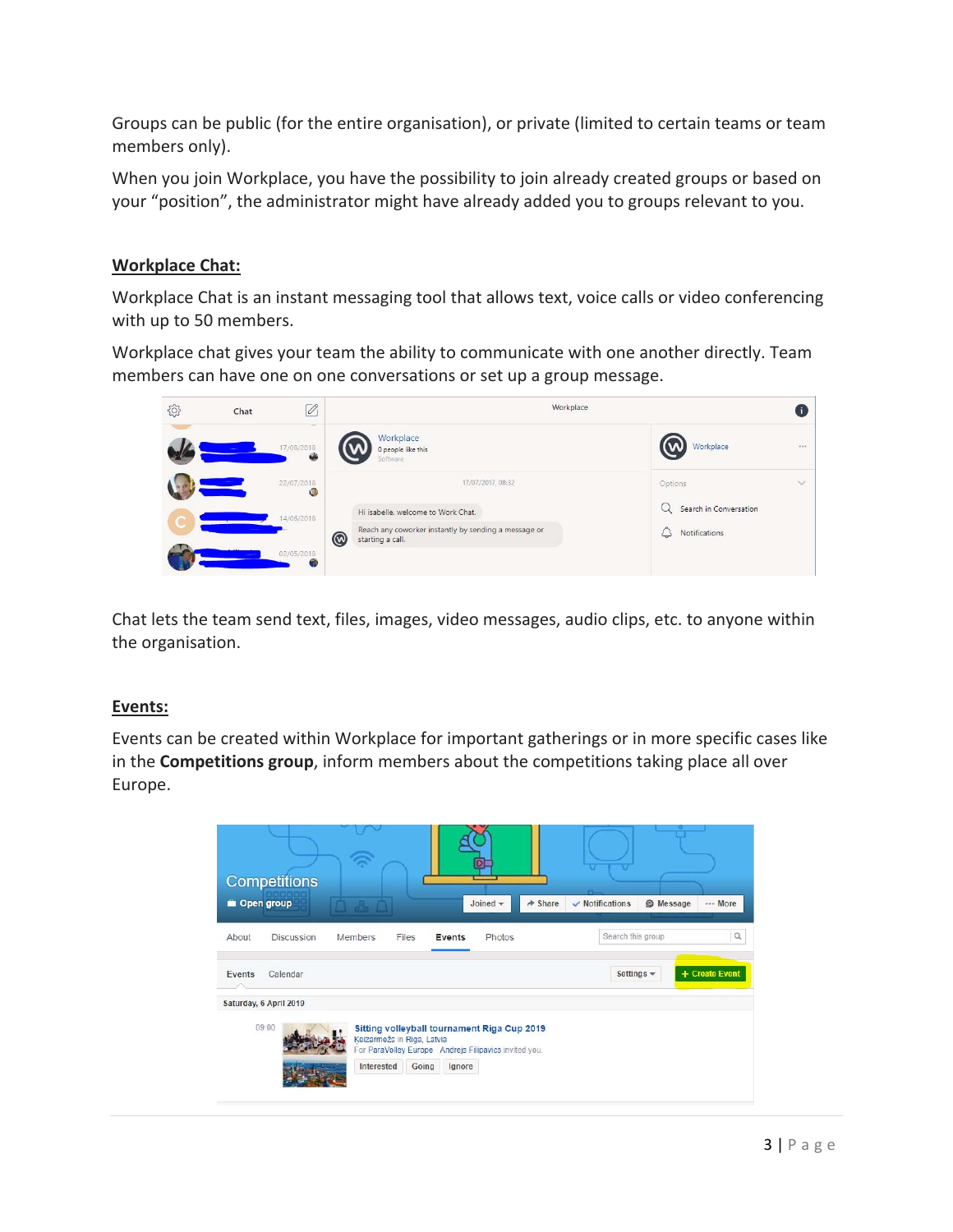Groups can be public (for the entire organisation), or private (limited to certain teams or team members only).

When you join Workplace, you have the possibility to join already created groups or based on your "position", the administrator might have already added you to groups relevant to you.

### **Workplace Chat:**

Workplace Chat is an instant messaging tool that allows text, voice calls or video conferencing with up to 50 members.

Workplace chat gives your team the ability to communicate with one another directly. Team members can have one on one conversations or set up a group message.



Chat lets the team send text, files, images, video messages, audio clips, etc. to anyone within the organisation.

### **Events:**

Events can be created within Workplace for important gatherings or in more specific cases like in the **Competitions group**, inform members about the competitions taking place all over Europe.

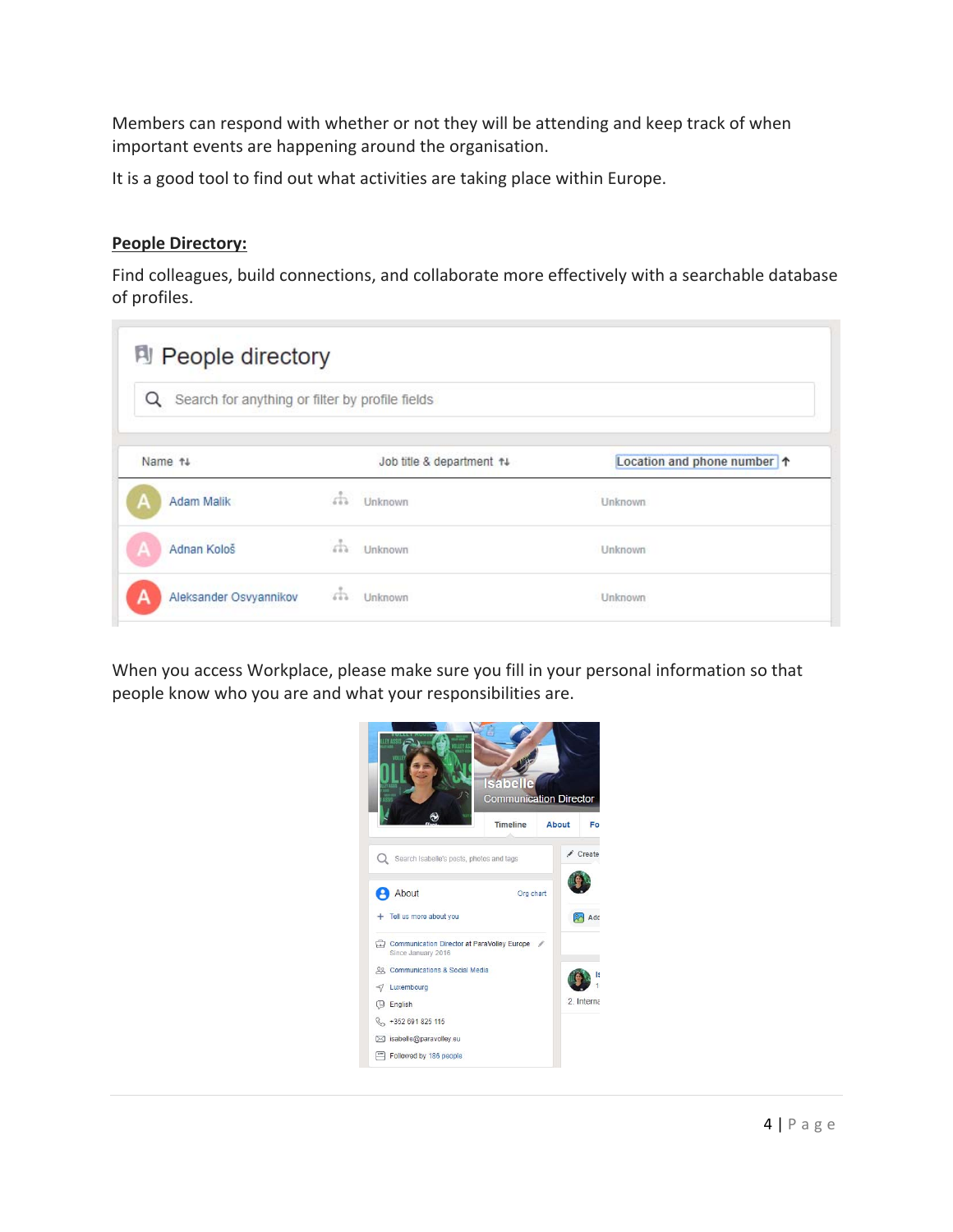Members can respond with whether or not they will be attending and keep track of when important events are happening around the organisation.

It is a good tool to find out what activities are taking place within Europe.

#### **People Directory:**

Find colleagues, build connections, and collaborate more effectively with a searchable database of profiles.

| Q<br>Search for anything or filter by profile fields |         |                           |                           |
|------------------------------------------------------|---------|---------------------------|---------------------------|
| Name 14                                              |         | Job title & department 14 | Location and phone number |
| Adam Malik                                           | da.     | Unknown                   | <b>Unknown</b>            |
| Adnan Kološ                                          | άħ      | Unknown                   | Unknown                   |
| Aleksander Osvyannikov                               | $5 - 3$ | Unknown                   | <b>Unknown</b>            |

When you access Workplace, please make sure you fill in your personal information so that people know who you are and what your responsibilities are.